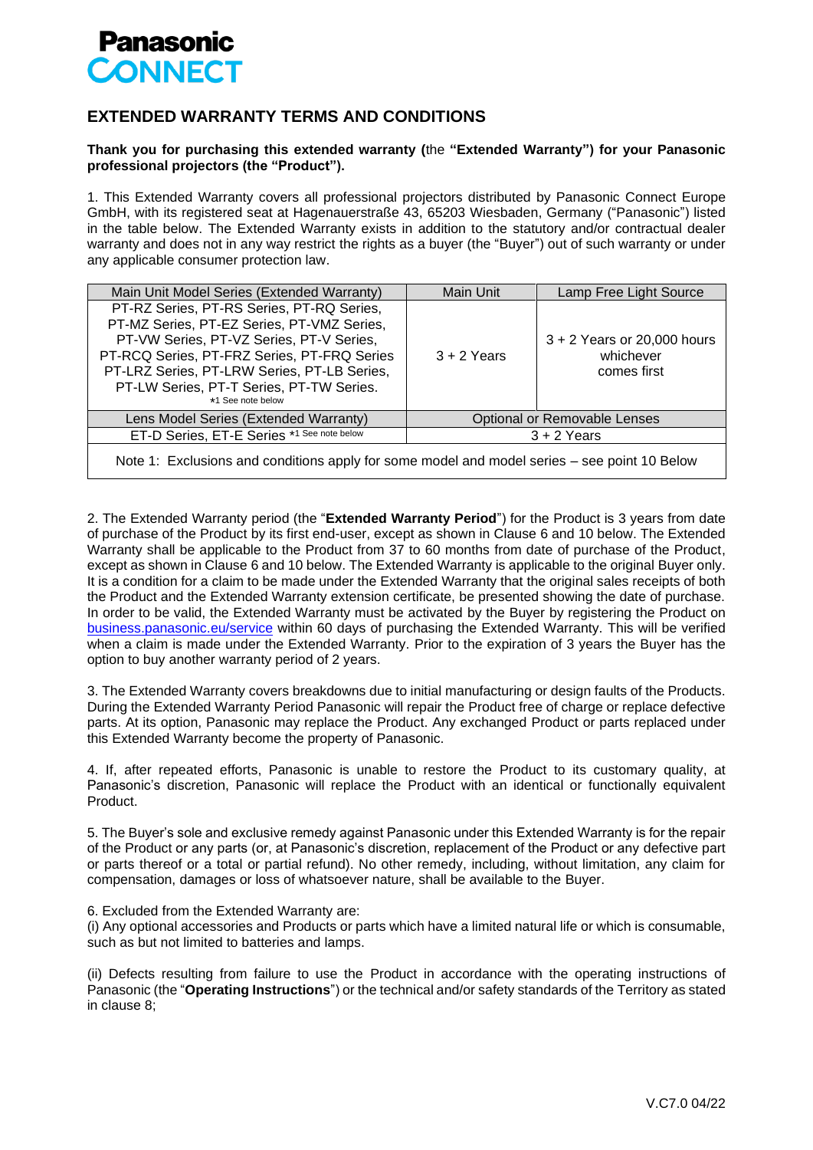

## **EXTENDED WARRANTY TERMS AND CONDITIONS**

## **Thank you for purchasing this extended warranty (**the **"Extended Warranty") for your Panasonic professional projectors (the "Product").**

1. This Extended Warranty covers all professional projectors distributed by Panasonic Connect Europe GmbH, with its registered seat at Hagenauerstraße 43, 65203 Wiesbaden, Germany ("Panasonic") listed in the table below. The Extended Warranty exists in addition to the statutory and/or contractual dealer warranty and does not in any way restrict the rights as a buyer (the "Buyer") out of such warranty or under any applicable consumer protection law.

| Main Unit Model Series (Extended Warranty)                                                                                                                                                                                                                                                         | Main Unit                           | Lamp Free Light Source                                    |
|----------------------------------------------------------------------------------------------------------------------------------------------------------------------------------------------------------------------------------------------------------------------------------------------------|-------------------------------------|-----------------------------------------------------------|
| PT-RZ Series, PT-RS Series, PT-RQ Series,<br>PT-MZ Series, PT-EZ Series, PT-VMZ Series,<br>PT-VW Series, PT-VZ Series, PT-V Series,<br>PT-RCQ Series, PT-FRZ Series, PT-FRQ Series<br>PT-LRZ Series, PT-LRW Series, PT-LB Series,<br>PT-LW Series, PT-T Series, PT-TW Series.<br>*1 See note below | $3 + 2$ Years                       | $3 + 2$ Years or 20,000 hours<br>whichever<br>comes first |
| Lens Model Series (Extended Warranty)                                                                                                                                                                                                                                                              | <b>Optional or Removable Lenses</b> |                                                           |
| ET-D Series, ET-E Series *1 See note below                                                                                                                                                                                                                                                         | $3 + 2$ Years                       |                                                           |
| Note 1: Exclusions and conditions apply for some model and model series - see point 10 Below                                                                                                                                                                                                       |                                     |                                                           |

2. The Extended Warranty period (the "**Extended Warranty Period**") for the Product is 3 years from date of purchase of the Product by its first end-user, except as shown in Clause 6 and 10 below. The Extended Warranty shall be applicable to the Product from 37 to 60 months from date of purchase of the Product, except as shown in Clause 6 and 10 below. The Extended Warranty is applicable to the original Buyer only. It is a condition for a claim to be made under the Extended Warranty that the original sales receipts of both the Product and the Extended Warranty extension certificate, be presented showing the date of purchase. In order to be valid, the Extended Warranty must be activated by the Buyer by registering the Product on [business.panasonic.eu/service](file://///pmuk.net/dfs/data/pmuk/PJSE/Controlled/Internal%20Use/Call%20Center/_WARRANTY/PROJECTORS/business.panasonic.eu/service) within 60 days of purchasing the Extended Warranty. This will be verified when a claim is made under the Extended Warranty. Prior to the expiration of 3 years the Buyer has the option to buy another warranty period of 2 years.

3. The Extended Warranty covers breakdowns due to initial manufacturing or design faults of the Products. During the Extended Warranty Period Panasonic will repair the Product free of charge or replace defective parts. At its option, Panasonic may replace the Product. Any exchanged Product or parts replaced under this Extended Warranty become the property of Panasonic.

4. If, after repeated efforts, Panasonic is unable to restore the Product to its customary quality, at Panasonic's discretion, Panasonic will replace the Product with an identical or functionally equivalent Product.

5. The Buyer's sole and exclusive remedy against Panasonic under this Extended Warranty is for the repair of the Product or any parts (or, at Panasonic's discretion, replacement of the Product or any defective part or parts thereof or a total or partial refund). No other remedy, including, without limitation, any claim for compensation, damages or loss of whatsoever nature, shall be available to the Buyer.

## 6. Excluded from the Extended Warranty are:

(i) Any optional accessories and Products or parts which have a limited natural life or which is consumable, such as but not limited to batteries and lamps.

(ii) Defects resulting from failure to use the Product in accordance with the operating instructions of Panasonic (the "**Operating Instructions**") or the technical and/or safety standards of the Territory as stated in clause 8;